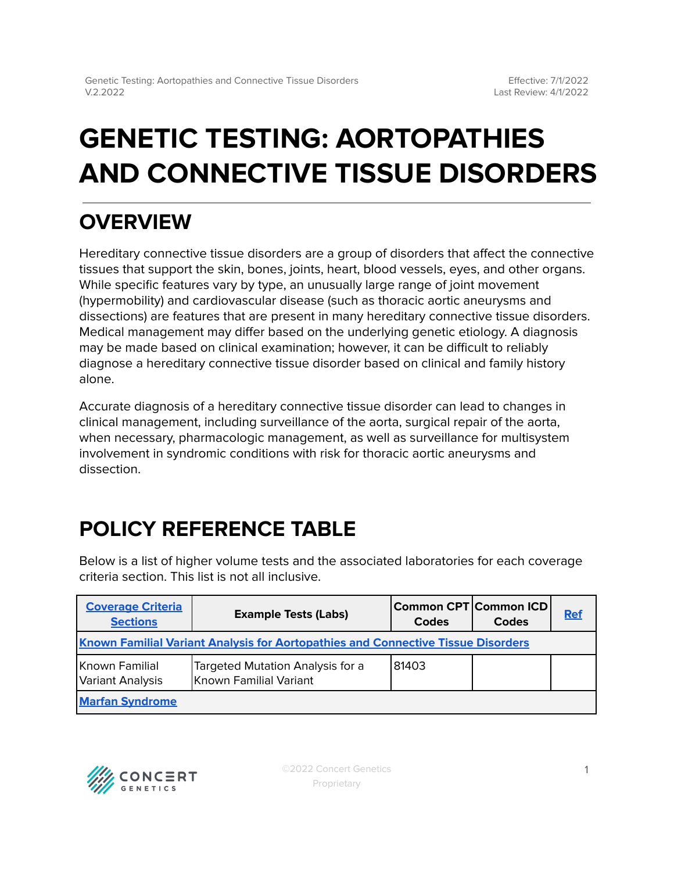# **GENETIC TESTING: AORTOPATHIES AND CONNECTIVE TISSUE DISORDERS**

## **OVERVIEW**

Hereditary connective tissue disorders are a group of disorders that affect the connective tissues that support the skin, bones, joints, heart, blood vessels, eyes, and other organs. While specific features vary by type, an unusually large range of joint movement (hypermobility) and cardiovascular disease (such as thoracic aortic aneurysms and dissections) are features that are present in many hereditary connective tissue disorders. Medical management may differ based on the underlying genetic etiology. A diagnosis may be made based on clinical examination; however, it can be difficult to reliably diagnose a hereditary connective tissue disorder based on clinical and family history alone.

Accurate diagnosis of a hereditary connective tissue disorder can lead to changes in clinical management, including surveillance of the aorta, surgical repair of the aorta, when necessary, pharmacologic management, as well as surveillance for multisystem involvement in syndromic conditions with risk for thoracic aortic aneurysms and dissection.

## <span id="page-0-0"></span>**POLICY REFERENCE TABLE**

Below is a list of higher volume tests and the associated laboratories for each coverage criteria section. This list is not all inclusive.

| <b>Coverage Criteria</b><br><b>Sections</b>                                             | <b>Example Tests (Labs)</b>                                | Common CPT  Common ICD  <br>Codes | Codes | <b>Ref</b> |  |
|-----------------------------------------------------------------------------------------|------------------------------------------------------------|-----------------------------------|-------|------------|--|
| <b>Known Familial Variant Analysis for Aortopathies and Connective Tissue Disorders</b> |                                                            |                                   |       |            |  |
| Known Familial<br>Variant Analysis                                                      | Targeted Mutation Analysis for a<br>Known Familial Variant | 81403                             |       |            |  |
| <b>Marfan Syndrome</b>                                                                  |                                                            |                                   |       |            |  |

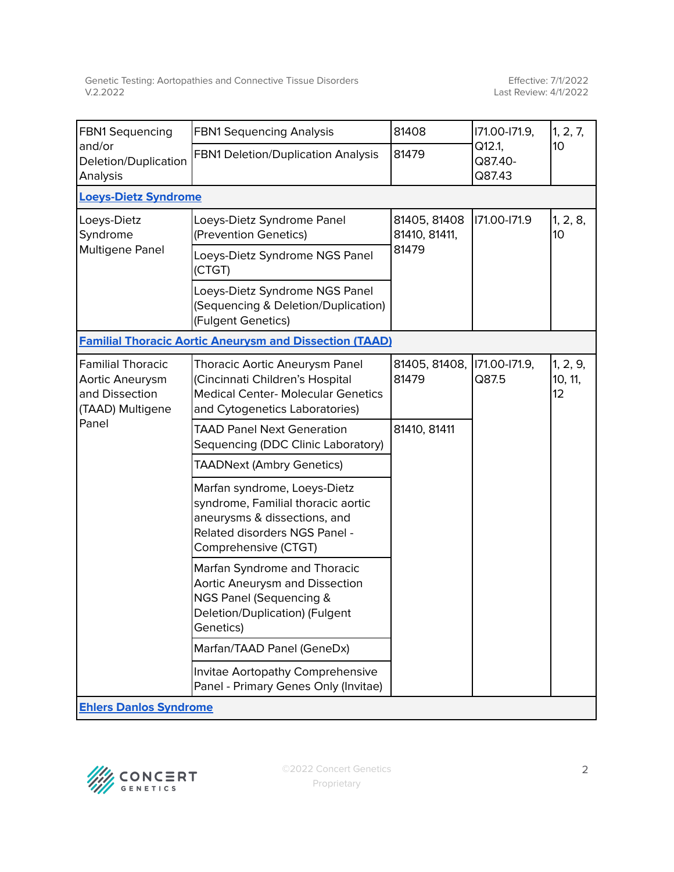| <b>FBN1 Sequencing</b><br>and/or<br>Deletion/Duplication<br>Analysis                       | <b>FBN1 Sequencing Analysis</b>                                                                                                                             | 81408<br>81479                         | 171.00-171.9,<br>Q12.1,<br>Q87.40-<br>Q87.43 | 1, 2, 7,<br>10 <sup>10</sup> |  |
|--------------------------------------------------------------------------------------------|-------------------------------------------------------------------------------------------------------------------------------------------------------------|----------------------------------------|----------------------------------------------|------------------------------|--|
|                                                                                            | FBN1 Deletion/Duplication Analysis                                                                                                                          |                                        |                                              |                              |  |
| <b>Loeys-Dietz Syndrome</b>                                                                |                                                                                                                                                             |                                        |                                              |                              |  |
| Loeys-Dietz<br>Syndrome<br>Multigene Panel                                                 | Loeys-Dietz Syndrome Panel<br>(Prevention Genetics)                                                                                                         | 81405, 81408<br>81410, 81411,<br>81479 | 171.00-171.9                                 | 1, 2, 8,<br>10 <sup>10</sup> |  |
|                                                                                            | Loeys-Dietz Syndrome NGS Panel<br>(CTGT)                                                                                                                    |                                        |                                              |                              |  |
|                                                                                            | Loeys-Dietz Syndrome NGS Panel<br>(Sequencing & Deletion/Duplication)<br>(Fulgent Genetics)                                                                 |                                        |                                              |                              |  |
| <b>Familial Thoracic Aortic Aneurysm and Dissection (TAAD)</b>                             |                                                                                                                                                             |                                        |                                              |                              |  |
| <b>Familial Thoracic</b><br>Aortic Aneurysm<br>and Dissection<br>(TAAD) Multigene<br>Panel | <b>Thoracic Aortic Aneurysm Panel</b><br>(Cincinnati Children's Hospital<br><b>Medical Center- Molecular Genetics</b><br>and Cytogenetics Laboratories)     | 81405, 81408, 171.00-171.9,<br>81479   | Q87.5                                        | 1, 2, 9,<br>10, 11,<br>12    |  |
|                                                                                            | <b>TAAD Panel Next Generation</b><br>Sequencing (DDC Clinic Laboratory)                                                                                     | 81410, 81411                           |                                              |                              |  |
|                                                                                            | <b>TAADNext (Ambry Genetics)</b>                                                                                                                            |                                        |                                              |                              |  |
|                                                                                            | Marfan syndrome, Loeys-Dietz<br>syndrome, Familial thoracic aortic<br>aneurysms & dissections, and<br>Related disorders NGS Panel -<br>Comprehensive (CTGT) |                                        |                                              |                              |  |
|                                                                                            | Marfan Syndrome and Thoracic<br>Aortic Aneurysm and Dissection<br>NGS Panel (Sequencing &<br>Deletion/Duplication) (Fulgent<br>Genetics)                    |                                        |                                              |                              |  |
|                                                                                            | Marfan/TAAD Panel (GeneDx)                                                                                                                                  |                                        |                                              |                              |  |
|                                                                                            | Invitae Aortopathy Comprehensive<br>Panel - Primary Genes Only (Invitae)                                                                                    |                                        |                                              |                              |  |
| <b>Ehlers Danlos Syndrome</b>                                                              |                                                                                                                                                             |                                        |                                              |                              |  |

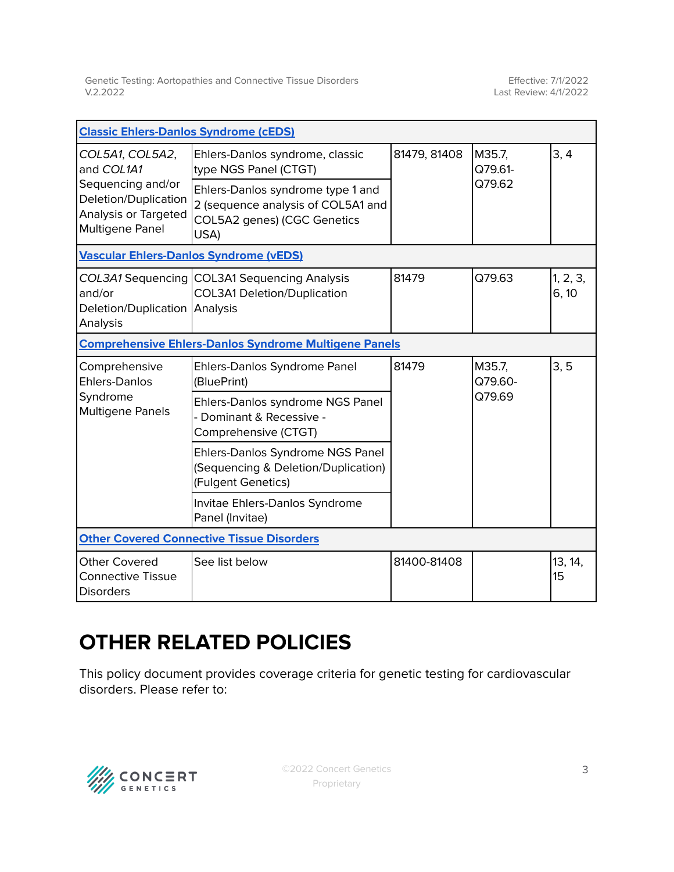| <b>Classic Ehlers-Danlos Syndrome (cEDS)</b>                                                                          |                                                                                                                |              |                             |                   |  |  |
|-----------------------------------------------------------------------------------------------------------------------|----------------------------------------------------------------------------------------------------------------|--------------|-----------------------------|-------------------|--|--|
| COL5A1, COL5A2,<br>and COL1A1<br>Sequencing and/or<br>Deletion/Duplication<br>Analysis or Targeted<br>Multigene Panel | Ehlers-Danlos syndrome, classic<br>type NGS Panel (CTGT)                                                       | 81479, 81408 | M35.7,<br>Q79.61-<br>Q79.62 | 3, 4              |  |  |
|                                                                                                                       | Ehlers-Danlos syndrome type 1 and<br>2 (sequence analysis of COL5A1 and<br>COL5A2 genes) (CGC Genetics<br>USA) |              |                             |                   |  |  |
| <b>Vascular Ehlers-Danlos Syndrome (vEDS)</b>                                                                         |                                                                                                                |              |                             |                   |  |  |
| and/or<br>Deletion/Duplication Analysis<br>Analysis                                                                   | COL3A1 Sequencing COL3A1 Sequencing Analysis<br><b>COL3A1 Deletion/Duplication</b>                             | 81479        | Q79.63                      | 1, 2, 3,<br>6, 10 |  |  |
| <b>Comprehensive Ehlers-Danlos Syndrome Multigene Panels</b>                                                          |                                                                                                                |              |                             |                   |  |  |
| Comprehensive<br><b>Ehlers-Danlos</b><br>Syndrome<br><b>Multigene Panels</b>                                          | Ehlers-Danlos Syndrome Panel<br>(BluePrint)                                                                    | 81479        | M35.7,<br>Q79.60-<br>Q79.69 | 3, 5              |  |  |
|                                                                                                                       | Ehlers-Danlos syndrome NGS Panel<br>- Dominant & Recessive -<br>Comprehensive (CTGT)                           |              |                             |                   |  |  |
|                                                                                                                       | Ehlers-Danlos Syndrome NGS Panel<br>(Sequencing & Deletion/Duplication)<br>(Fulgent Genetics)                  |              |                             |                   |  |  |
|                                                                                                                       | Invitae Ehlers-Danlos Syndrome<br>Panel (Invitae)                                                              |              |                             |                   |  |  |
| <b>Other Covered Connective Tissue Disorders</b>                                                                      |                                                                                                                |              |                             |                   |  |  |
| <b>Other Covered</b><br><b>Connective Tissue</b><br><b>Disorders</b>                                                  | See list below                                                                                                 | 81400-81408  |                             | 13, 14,<br>15     |  |  |

## **OTHER RELATED POLICIES**

This policy document provides coverage criteria for genetic testing for cardiovascular disorders. Please refer to:

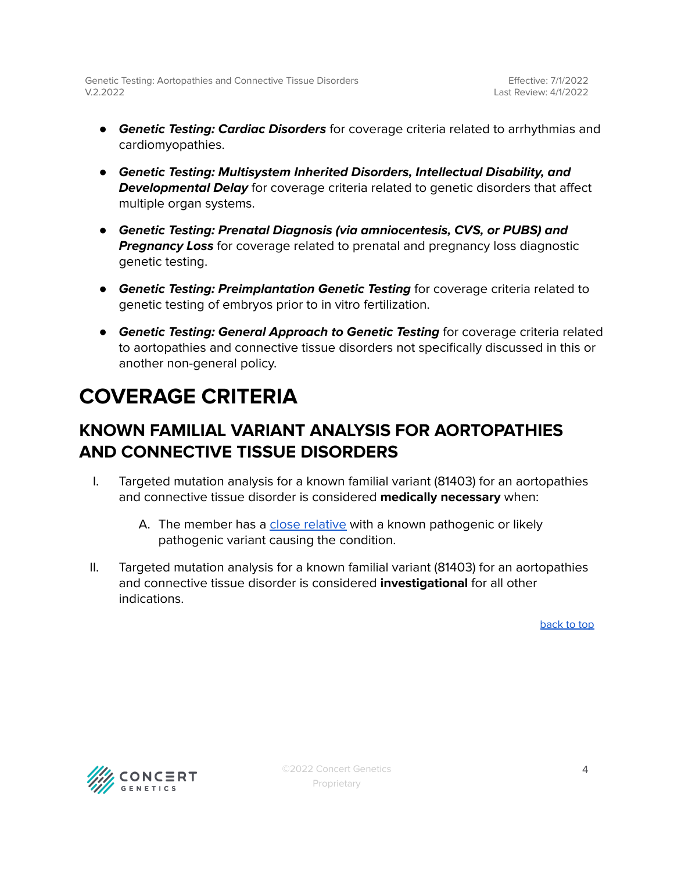Effective: 7/1/2022 Last Review: 4/1/2022

- **Genetic Testing: Cardiac Disorders** for coverage criteria related to arrhythmias and cardiomyopathies.
- **Genetic Testing: Multisystem Inherited Disorders, Intellectual Disability, and Developmental Delay** for coverage criteria related to genetic disorders that affect multiple organ systems.
- **Genetic Testing: Prenatal Diagnosis (via amniocentesis, CVS, or PUBS) and Pregnancy Loss** for coverage related to prenatal and pregnancy loss diagnostic genetic testing.
- **Genetic Testing: Preimplantation Genetic Testing** for coverage criteria related to genetic testing of embryos prior to in vitro fertilization.
- **Genetic Testing: General Approach to Genetic Testing** for coverage criteria related to aortopathies and connective tissue disorders not specifically discussed in this or another non-general policy.

## <span id="page-3-0"></span>**COVERAGE CRITERIA**

### <span id="page-3-1"></span>**KNOWN FAMILIAL VARIANT ANALYSIS FOR AORTOPATHIES AND CONNECTIVE TISSUE DISORDERS**

- I. Targeted mutation analysis for a known familial variant (81403) for an aortopathies and connective tissue disorder is considered **medically necessary** when:
	- A. The member has a close [relative](#page-10-0) with a known pathogenic or likely pathogenic variant causing the condition.
- II. Targeted mutation analysis for a known familial variant (81403) for an aortopathies and connective tissue disorder is considered **investigational** for all other indications.

[back](#page-0-0) to top

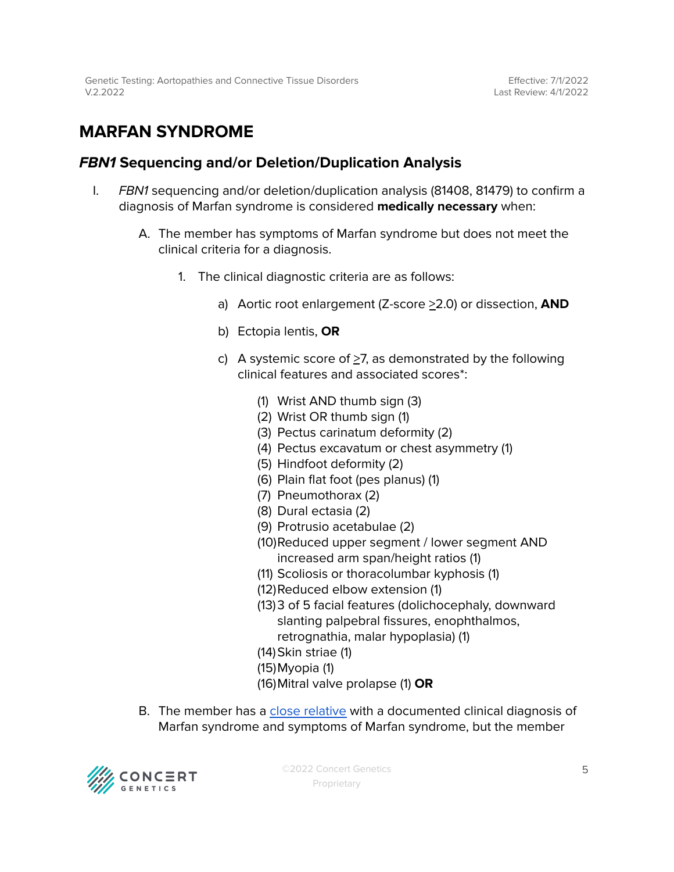### <span id="page-4-0"></span>**MARFAN SYNDROME**

#### **FBN1 Sequencing and/or Deletion/Duplication Analysis**

- I. FBN1 sequencing and/or deletion/duplication analysis (81408, 81479) to confirm a diagnosis of Marfan syndrome is considered **medically necessary** when:
	- A. The member has symptoms of Marfan syndrome but does not meet the clinical criteria for a diagnosis.
		- 1. The clinical diagnostic criteria are as follows:
			- a) Aortic root enlargement (Z-score >2.0) or dissection, **AND**
			- b) Ectopia lentis, **OR**
			- c) A systemic score of >7, as demonstrated by the following clinical features and associated scores\*:
				- (1) Wrist AND thumb sign (3)
				- (2) Wrist OR thumb sign (1)
				- (3) Pectus carinatum deformity (2)
				- (4) Pectus excavatum or chest asymmetry (1)
				- (5) Hindfoot deformity (2)
				- (6) Plain flat foot (pes planus) (1)
				- (7) Pneumothorax (2)
				- (8) Dural ectasia (2)
				- (9) Protrusio acetabulae (2)
				- (10)Reduced upper segment / lower segment AND increased arm span/height ratios (1)
				- (11) Scoliosis or thoracolumbar kyphosis (1)
				- (12)Reduced elbow extension (1)
				- (13)3 of 5 facial features (dolichocephaly, downward slanting palpebral fissures, enophthalmos, retrognathia, malar hypoplasia) (1)
				- (14)Skin striae (1)
				- (15)Myopia (1)
				- (16)Mitral valve prolapse (1) **OR**
	- B. The member has a close [relative](#page-10-0) with a documented clinical diagnosis of Marfan syndrome and symptoms of Marfan syndrome, but the member



©2022 Concert Genetics Proprietary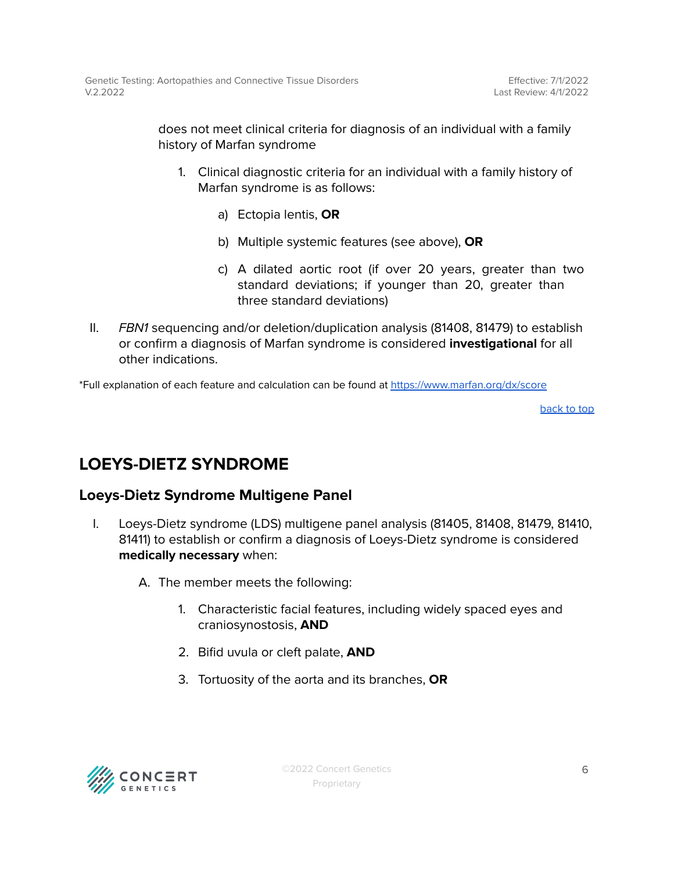does not meet clinical criteria for diagnosis of an individual with a family history of Marfan syndrome

- 1. Clinical diagnostic criteria for an individual with a family history of Marfan syndrome is as follows:
	- a) Ectopia lentis, **OR**
	- b) Multiple systemic features (see above), **OR**
	- c) A dilated aortic root (if over 20 years, greater than two standard deviations; if younger than 20, greater than three standard deviations)
- II. FBN1 sequencing and/or deletion/duplication analysis (81408, 81479) to establish or confirm a diagnosis of Marfan syndrome is considered **investigational** for all other indications.

\*Full explanation of each feature and calculation can be found at <https://www.marfan.org/dx/score>

[back](#page-0-0) to top

### <span id="page-5-0"></span>**LOEYS-DIETZ SYNDROME**

#### **Loeys-Dietz Syndrome Multigene Panel**

- I. Loeys-Dietz syndrome (LDS) multigene panel analysis (81405, 81408, 81479, 81410, 81411) to establish or confirm a diagnosis of Loeys-Dietz syndrome is considered **medically necessary** when:
	- A. The member meets the following:
		- 1. Characteristic facial features, including widely spaced eyes and craniosynostosis, **AND**
		- 2. Bifid uvula or cleft palate, **AND**
		- 3. Tortuosity of the aorta and its branches, **OR**

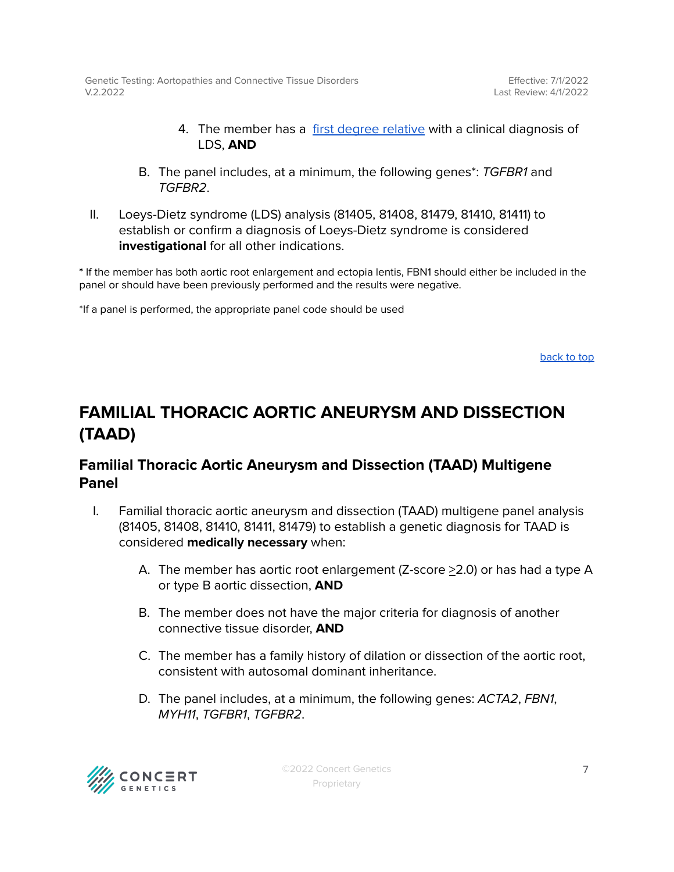Effective: 7/1/2022 Last Review: 4/1/2022

- 4. The member has a first degree [relative](#page-10-0) with a clinical diagnosis of LDS, **AND**
- B. The panel includes, at a minimum, the following genes\*: TGFBR1 and TGFBR2.
- II. Loeys-Dietz syndrome (LDS) analysis (81405, 81408, 81479, 81410, 81411) to establish or confirm a diagnosis of Loeys-Dietz syndrome is considered **investigational** for all other indications.

**\*** If the member has both aortic root enlargement and ectopia lentis, FBN1 should either be included in the panel or should have been previously performed and the results were negative.

\*If a panel is performed, the appropriate panel code should be used

[back](#page-0-0) to top

### <span id="page-6-0"></span>**FAMILIAL THORACIC AORTIC ANEURYSM AND DISSECTION (TAAD)**

#### **Familial Thoracic Aortic Aneurysm and Dissection (TAAD) Multigene Panel**

- I. Familial thoracic aortic aneurysm and dissection (TAAD) multigene panel analysis (81405, 81408, 81410, 81411, 81479) to establish a genetic diagnosis for TAAD is considered **medically necessary** when:
	- A. The member has aortic root enlargement (Z-score >2.0) or has had a type A or type B aortic dissection, **AND**
	- B. The member does not have the major criteria for diagnosis of another connective tissue disorder, **AND**
	- C. The member has a family history of dilation or dissection of the aortic root, consistent with autosomal dominant inheritance.
	- D. The panel includes, at a minimum, the following genes: ACTA2, FBN1, MYH11, TGFBR1, TGFBR2.

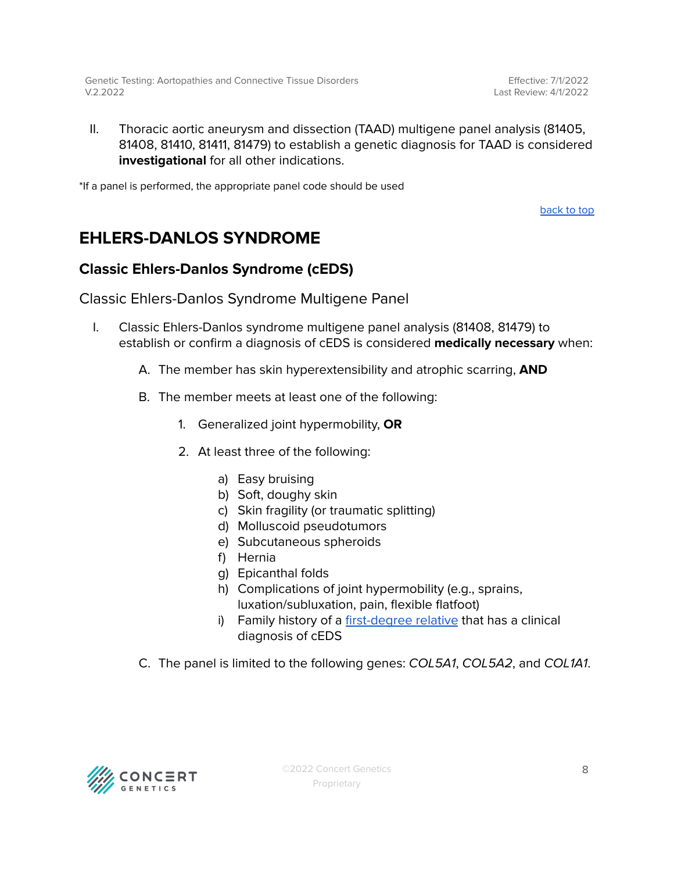Effective: 7/1/2022 Last Review: 4/1/2022

II. Thoracic aortic aneurysm and dissection (TAAD) multigene panel analysis (81405, 81408, 81410, 81411, 81479) to establish a genetic diagnosis for TAAD is considered **investigational** for all other indications.

\*If a panel is performed, the appropriate panel code should be used

[back](#page-0-0) to top

### <span id="page-7-0"></span>**EHLERS-DANLOS SYNDROME**

#### <span id="page-7-1"></span>**Classic Ehlers-Danlos Syndrome (cEDS)**

Classic Ehlers-Danlos Syndrome Multigene Panel

- I. Classic Ehlers-Danlos syndrome multigene panel analysis (81408, 81479) to establish or confirm a diagnosis of cEDS is considered **medically necessary** when:
	- A. The member has skin hyperextensibility and atrophic scarring, **AND**
	- B. The member meets at least one of the following:
		- 1. Generalized joint hypermobility, **OR**
		- 2. At least three of the following:
			- a) Easy bruising
			- b) Soft, doughy skin
			- c) Skin fragility (or traumatic splitting)
			- d) Molluscoid pseudotumors
			- e) Subcutaneous spheroids
			- f) Hernia
			- g) Epicanthal folds
			- h) Complications of joint hypermobility (e.g., sprains, luxation/subluxation, pain, flexible flatfoot)
			- i) Family history of a [first-degree](#page-10-0) relative that has a clinical diagnosis of cEDS
	- C. The panel is limited to the following genes: COL5A1, COL5A2, and COL1A1.

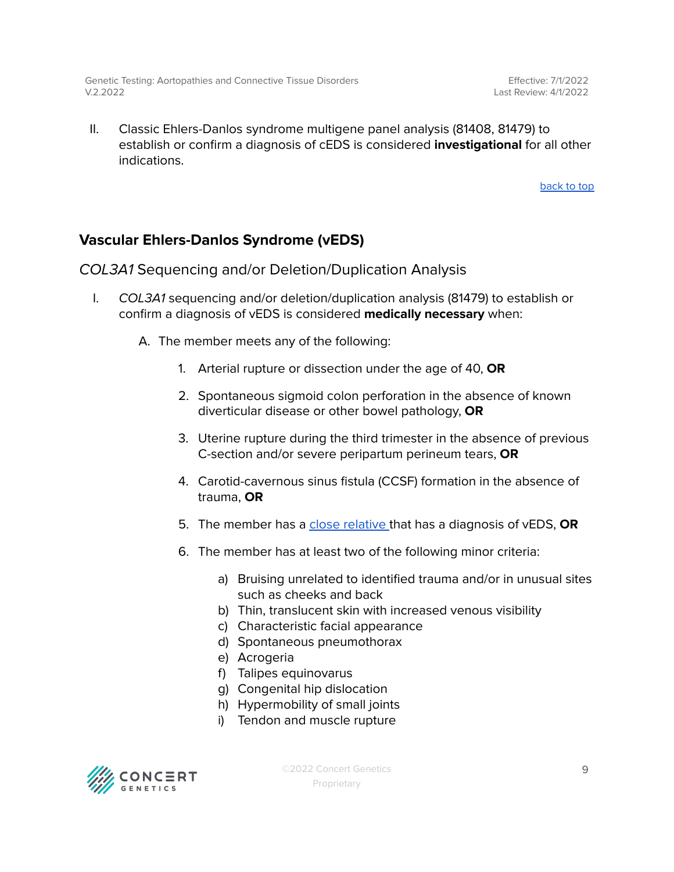II. Classic Ehlers-Danlos syndrome multigene panel analysis (81408, 81479) to establish or confirm a diagnosis of cEDS is considered **investigational** for all other indications.

[back](#page-0-0) to top

#### <span id="page-8-0"></span>**Vascular Ehlers-Danlos Syndrome (vEDS)**

COL3A1 Sequencing and/or Deletion/Duplication Analysis

- I. COL3A1 sequencing and/or deletion/duplication analysis (81479) to establish or confirm a diagnosis of vEDS is considered **medically necessary** when:
	- A. The member meets any of the following:
		- 1. Arterial rupture or dissection under the age of 40, **OR**
		- 2. Spontaneous sigmoid colon perforation in the absence of known diverticular disease or other bowel pathology, **OR**
		- 3. Uterine rupture during the third trimester in the absence of previous C-section and/or severe peripartum perineum tears, **OR**
		- 4. Carotid-cavernous sinus fistula (CCSF) formation in the absence of trauma, **OR**
		- 5. The member has a close [relative](#page-10-0) that has a diagnosis of vEDS, **OR**
		- 6. The member has at least two of the following minor criteria:
			- a) Bruising unrelated to identified trauma and/or in unusual sites such as cheeks and back
			- b) Thin, translucent skin with increased venous visibility
			- c) Characteristic facial appearance
			- d) Spontaneous pneumothorax
			- e) Acrogeria
			- f) Talipes equinovarus
			- g) Congenital hip dislocation
			- h) Hypermobility of small joints
			- i) Tendon and muscle rupture



©2022 Concert Genetics Proprietary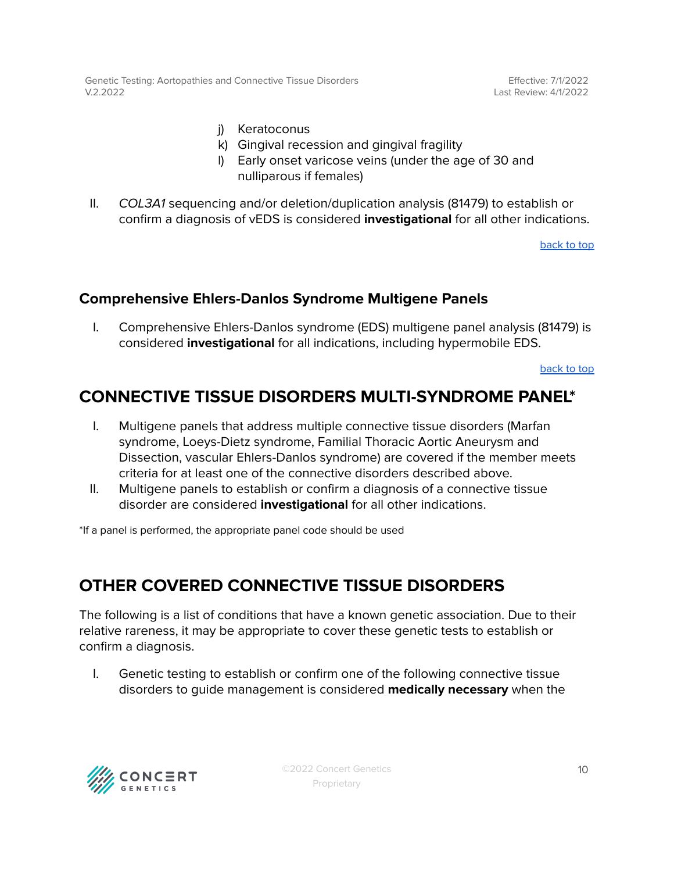Effective: 7/1/2022 Last Review: 4/1/2022

- j) Keratoconus
- k) Gingival recession and gingival fragility
- l) Early onset varicose veins (under the age of 30 and nulliparous if females)
- II. COL3A1 sequencing and/or deletion/duplication analysis (81479) to establish or confirm a diagnosis of vEDS is considered **investigational** for all other indications.

[back](#page-0-0) to top

#### <span id="page-9-0"></span>**Comprehensive Ehlers-Danlos Syndrome Multigene Panels**

I. Comprehensive Ehlers-Danlos syndrome (EDS) multigene panel analysis (81479) is considered **investigational** for all indications, including hypermobile EDS.

[back](#page-0-0) to top

### **CONNECTIVE TISSUE DISORDERS MULTI-SYNDROME PANEL\***

- I. Multigene panels that address multiple connective tissue disorders (Marfan syndrome, Loeys-Dietz syndrome, Familial Thoracic Aortic Aneurysm and Dissection, vascular Ehlers-Danlos syndrome) are covered if the member meets criteria for at least one of the connective disorders described above.
- II. Multigene panels to establish or confirm a diagnosis of a connective tissue disorder are considered **investigational** for all other indications.

\*If a panel is performed, the appropriate panel code should be used

### <span id="page-9-1"></span>**OTHER COVERED CONNECTIVE TISSUE DISORDERS**

The following is a list of conditions that have a known genetic association. Due to their relative rareness, it may be appropriate to cover these genetic tests to establish or confirm a diagnosis.

I. Genetic testing to establish or confirm one of the following connective tissue disorders to guide management is considered **medically necessary** when the

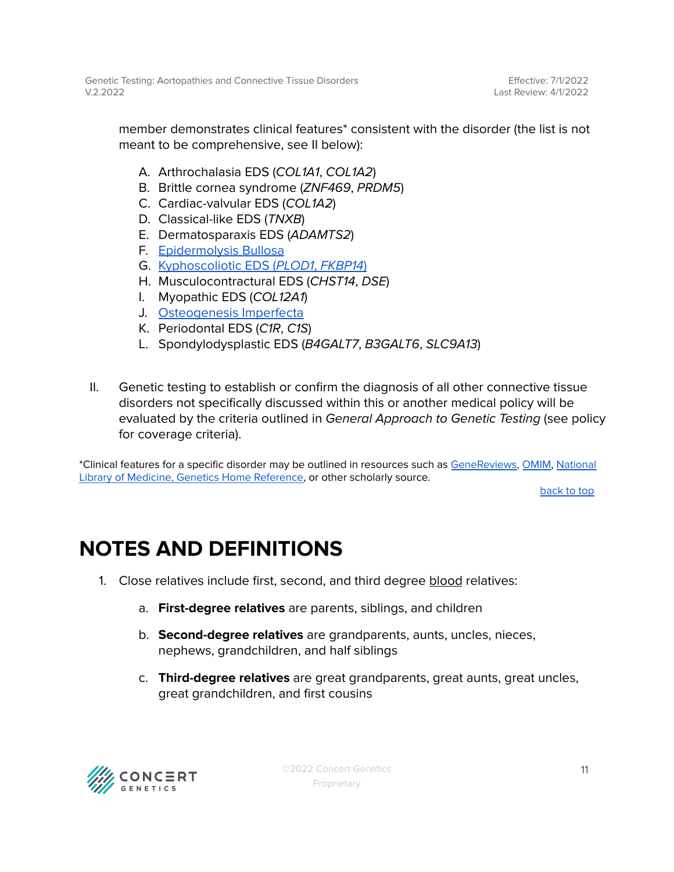Effective: 7/1/2022 Last Review: 4/1/2022

member demonstrates clinical features\* consistent with the disorder (the list is not meant to be comprehensive, see II below):

- A. Arthrochalasia EDS (COL1A1, COL1A2)
- B. Brittle cornea syndrome (ZNF469, PRDM5)
- C. Cardiac-valvular EDS (COL1A2)
- D. Classical-like EDS (TNXB)
- E. Dermatosparaxis EDS (ADAMTS2)
- F. [Epidermolysis](https://www.ncbi.nlm.nih.gov/books/NBK1369/) Bullosa
- G. [Kyphoscoliotic](https://www.ncbi.nlm.nih.gov/books/NBK1462/) EDS (PLOD1, FKBP14)
- H. Musculocontractural EDS (CHST14, DSE)
- I. Myopathic EDS (COL12A1)
- J. [Osteogenesis](https://www.ncbi.nlm.nih.gov/books/NBK1295/) Imperfecta
- K. Periodontal EDS (C1R, C1S)
- L. Spondylodysplastic EDS (B4GALT7, B3GALT6, SLC9A13)
- II. Genetic testing to establish or confirm the diagnosis of all other connective tissue disorders not specifically discussed within this or another medical policy will be evaluated by the criteria outlined in General Approach to Genetic Testing (see policy for coverage criteria).

\*Clinical features for a specific disorder may be outlined in resources such as [GeneReviews,](https://www.ncbi.nlm.nih.gov/books/NBK1116/) [OMIM,](https://www.omim.org/) [National](https://medlineplus.gov/genetics/) Library of Medicine, Genetics Home [Reference,](https://medlineplus.gov/genetics/) or other scholarly source.

[back](#page-0-0) to top

## <span id="page-10-0"></span>**NOTES AND DEFINITIONS**

- 1. Close relatives include first, second, and third degree blood relatives:
	- a. **First-degree relatives** are parents, siblings, and children
	- b. **Second-degree relatives** are grandparents, aunts, uncles, nieces, nephews, grandchildren, and half siblings
	- c. **Third-degree relatives** are great grandparents, great aunts, great uncles, great grandchildren, and first cousins

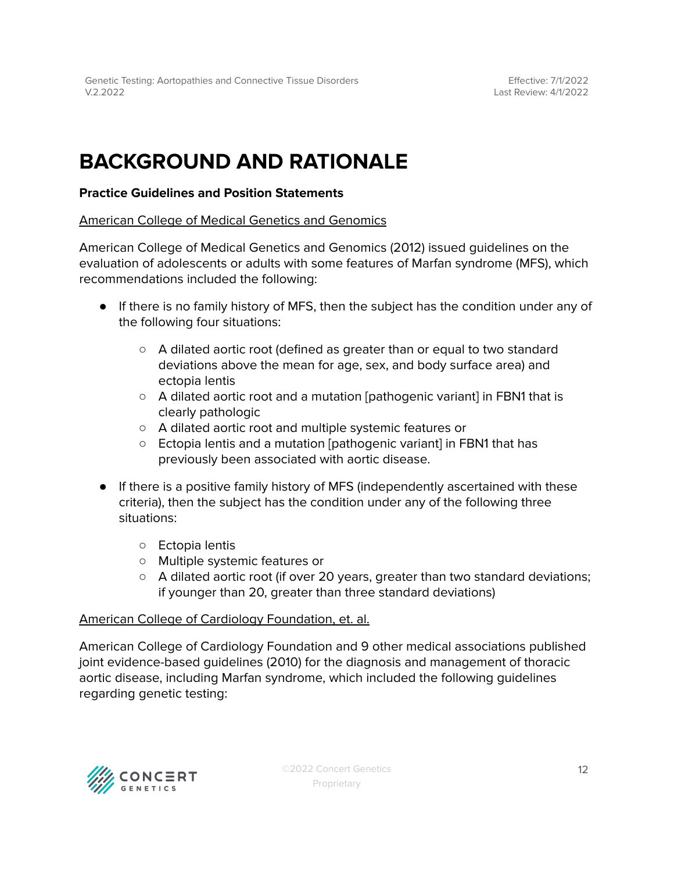## **BACKGROUND AND RATIONALE**

#### **Practice Guidelines and Position Statements**

American College of Medical Genetics and Genomics

American College of Medical Genetics and Genomics (2012) issued guidelines on the evaluation of adolescents or adults with some features of Marfan syndrome (MFS), which recommendations included the following:

- If there is no family history of MFS, then the subject has the condition under any of the following four situations:
	- A dilated aortic root (defined as greater than or equal to two standard deviations above the mean for age, sex, and body surface area) and ectopia lentis
	- A dilated aortic root and a mutation [pathogenic variant] in FBN1 that is clearly pathologic
	- A dilated aortic root and multiple systemic features or
	- Ectopia lentis and a mutation [pathogenic variant] in FBN1 that has previously been associated with aortic disease.
- If there is a positive family history of MFS (independently ascertained with these criteria), then the subject has the condition under any of the following three situations:
	- Ectopia lentis
	- Multiple systemic features or
	- $\circ$  A dilated aortic root (if over 20 years, greater than two standard deviations; if younger than 20, greater than three standard deviations)

#### American College of Cardiology Foundation, et. al.

American College of Cardiology Foundation and 9 other medical associations published joint evidence-based guidelines (2010) for the diagnosis and management of thoracic aortic disease, including Marfan syndrome, which included the following guidelines regarding genetic testing:

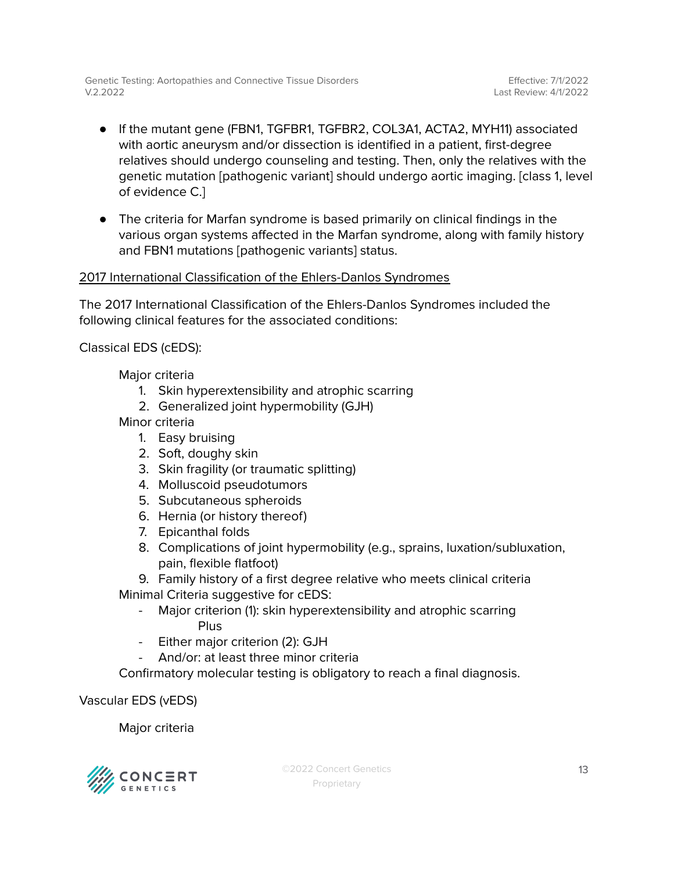- If the mutant gene (FBN1, TGFBR1, TGFBR2, COL3A1, ACTA2, MYH11) associated with aortic aneurysm and/or dissection is identified in a patient, first-degree relatives should undergo counseling and testing. Then, only the relatives with the genetic mutation [pathogenic variant] should undergo aortic imaging. [class 1, level of evidence C.]
- The criteria for Marfan syndrome is based primarily on clinical findings in the various organ systems affected in the Marfan syndrome, along with family history and FBN1 mutations [pathogenic variants] status.

#### 2017 International Classification of the Ehlers-Danlos Syndromes

The 2017 International Classification of the Ehlers-Danlos Syndromes included the following clinical features for the associated conditions:

Classical EDS (cEDS):

Major criteria

- 1. Skin hyperextensibility and atrophic scarring
- 2. Generalized joint hypermobility (GJH)

Minor criteria

- 1. Easy bruising
- 2. Soft, doughy skin
- 3. Skin fragility (or traumatic splitting)
- 4. Molluscoid pseudotumors
- 5. Subcutaneous spheroids
- 6. Hernia (or history thereof)
- 7. Epicanthal folds
- 8. Complications of joint hypermobility (e.g., sprains, luxation/subluxation, pain, flexible flatfoot)

9. Family history of a first degree relative who meets clinical criteria

Minimal Criteria suggestive for cEDS:

- Major criterion (1): skin hyperextensibility and atrophic scarring Plus
- Either major criterion (2): GJH
- And/or: at least three minor criteria

Confirmatory molecular testing is obligatory to reach a final diagnosis.

Vascular EDS (vEDS)

Major criteria

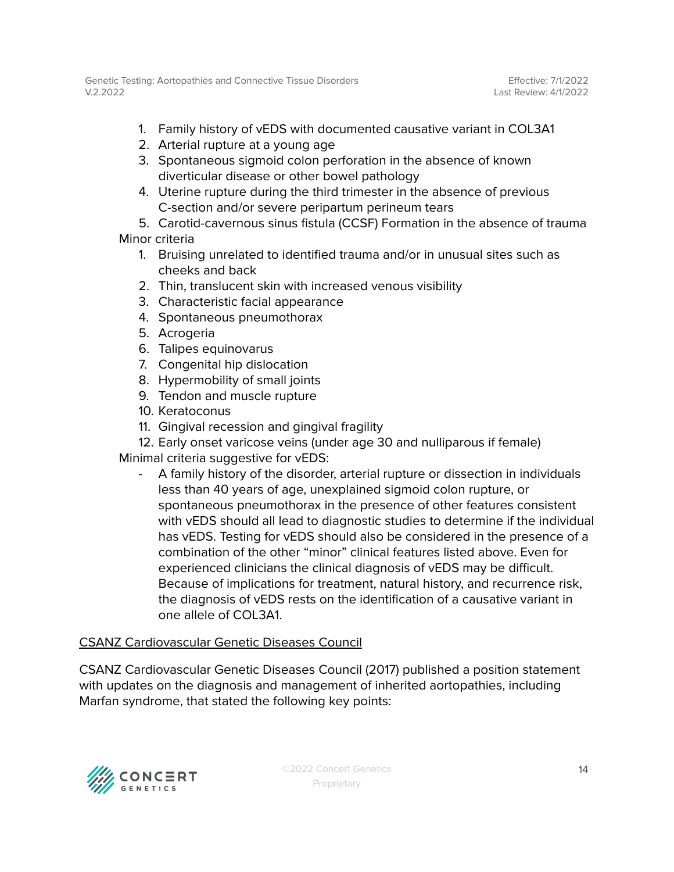- 1. Family history of vEDS with documented causative variant in COL3A1
- 2. Arterial rupture at a young age
- 3. Spontaneous sigmoid colon perforation in the absence of known diverticular disease or other bowel pathology
- 4. Uterine rupture during the third trimester in the absence of previous C-section and/or severe peripartum perineum tears

5. Carotid-cavernous sinus fistula (CCSF) Formation in the absence of trauma Minor criteria

- 1. Bruising unrelated to identified trauma and/or in unusual sites such as cheeks and back
- 2. Thin, translucent skin with increased venous visibility
- 3. Characteristic facial appearance
- 4. Spontaneous pneumothorax
- 5. Acrogeria
- 6. Talipes equinovarus
- 7. Congenital hip dislocation
- 8. Hypermobility of small joints
- 9. Tendon and muscle rupture
- 10. Keratoconus
- 11. Gingival recession and gingival fragility
- 12. Early onset varicose veins (under age 30 and nulliparous if female)

Minimal criteria suggestive for vEDS:

- A family history of the disorder, arterial rupture or dissection in individuals less than 40 years of age, unexplained sigmoid colon rupture, or spontaneous pneumothorax in the presence of other features consistent with vEDS should all lead to diagnostic studies to determine if the individual has vEDS. Testing for vEDS should also be considered in the presence of a combination of the other "minor" clinical features listed above. Even for experienced clinicians the clinical diagnosis of vEDS may be difficult. Because of implications for treatment, natural history, and recurrence risk, the diagnosis of vEDS rests on the identification of a causative variant in one allele of COL3A1.

#### CSANZ Cardiovascular Genetic Diseases Council

CSANZ Cardiovascular Genetic Diseases Council (2017) published a position statement with updates on the diagnosis and management of inherited aortopathies, including Marfan syndrome, that stated the following key points:

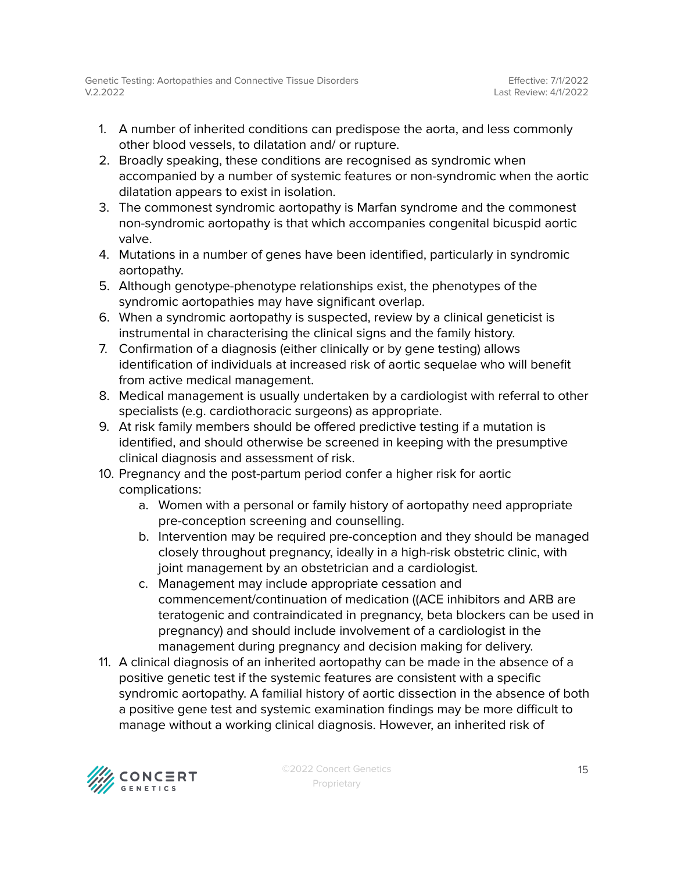- 1. A number of inherited conditions can predispose the aorta, and less commonly other blood vessels, to dilatation and/ or rupture.
- 2. Broadly speaking, these conditions are recognised as syndromic when accompanied by a number of systemic features or non-syndromic when the aortic dilatation appears to exist in isolation.
- 3. The commonest syndromic aortopathy is Marfan syndrome and the commonest non-syndromic aortopathy is that which accompanies congenital bicuspid aortic valve.
- 4. Mutations in a number of genes have been identified, particularly in syndromic aortopathy.
- 5. Although genotype-phenotype relationships exist, the phenotypes of the syndromic aortopathies may have significant overlap.
- 6. When a syndromic aortopathy is suspected, review by a clinical geneticist is instrumental in characterising the clinical signs and the family history.
- 7. Confirmation of a diagnosis (either clinically or by gene testing) allows identification of individuals at increased risk of aortic sequelae who will benefit from active medical management.
- 8. Medical management is usually undertaken by a cardiologist with referral to other specialists (e.g. cardiothoracic surgeons) as appropriate.
- 9. At risk family members should be offered predictive testing if a mutation is identified, and should otherwise be screened in keeping with the presumptive clinical diagnosis and assessment of risk.
- 10. Pregnancy and the post-partum period confer a higher risk for aortic complications:
	- a. Women with a personal or family history of aortopathy need appropriate pre-conception screening and counselling.
	- b. Intervention may be required pre-conception and they should be managed closely throughout pregnancy, ideally in a high-risk obstetric clinic, with joint management by an obstetrician and a cardiologist.
	- c. Management may include appropriate cessation and commencement/continuation of medication ((ACE inhibitors and ARB are teratogenic and contraindicated in pregnancy, beta blockers can be used in pregnancy) and should include involvement of a cardiologist in the management during pregnancy and decision making for delivery.
- 11. A clinical diagnosis of an inherited aortopathy can be made in the absence of a positive genetic test if the systemic features are consistent with a specific syndromic aortopathy. A familial history of aortic dissection in the absence of both a positive gene test and systemic examination findings may be more difficult to manage without a working clinical diagnosis. However, an inherited risk of

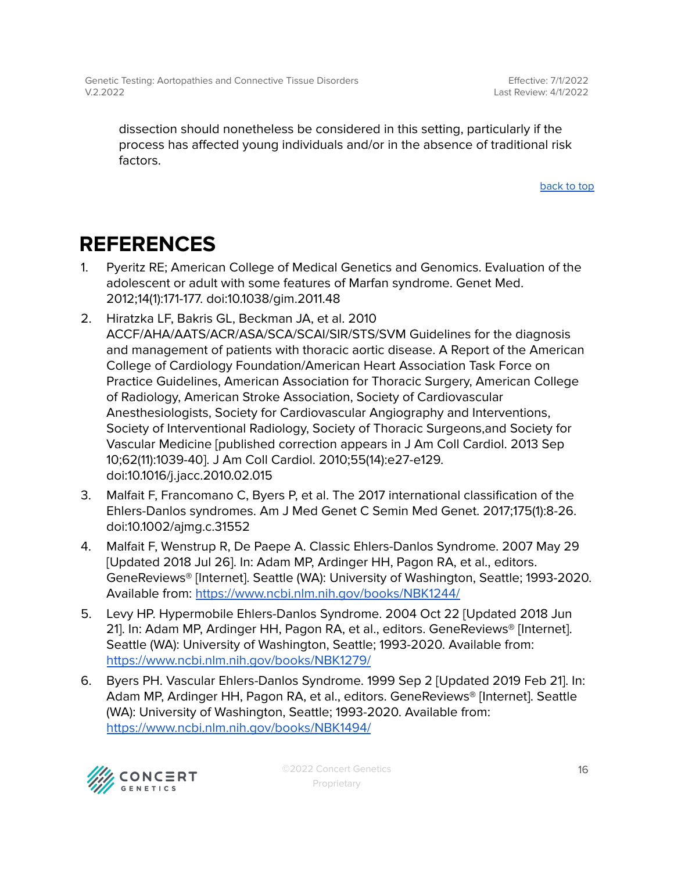Effective: 7/1/2022 Last Review: 4/1/2022

dissection should nonetheless be considered in this setting, particularly if the process has affected young individuals and/or in the absence of traditional risk factors.

[back](#page-0-0) to top

## <span id="page-15-0"></span>**REFERENCES**

- 1. Pyeritz RE; American College of Medical Genetics and Genomics. Evaluation of the adolescent or adult with some features of Marfan syndrome. Genet Med. 2012;14(1):171-177. doi:10.1038/gim.2011.48
- 2. Hiratzka LF, Bakris GL, Beckman JA, et al. 2010 ACCF/AHA/AATS/ACR/ASA/SCA/SCAI/SIR/STS/SVM Guidelines for the diagnosis and management of patients with thoracic aortic disease. A Report of the American College of Cardiology Foundation/American Heart Association Task Force on Practice Guidelines, American Association for Thoracic Surgery, American College of Radiology, American Stroke Association, Society of Cardiovascular Anesthesiologists, Society for Cardiovascular Angiography and Interventions, Society of Interventional Radiology, Society of Thoracic Surgeons,and Society for Vascular Medicine [published correction appears in J Am Coll Cardiol. 2013 Sep 10;62(11):1039-40]. J Am Coll Cardiol. 2010;55(14):e27-e129. doi:10.1016/j.jacc.2010.02.015
- 3. Malfait F, Francomano C, Byers P, et al. The 2017 international classification of the Ehlers-Danlos syndromes. Am J Med Genet C Semin Med Genet. 2017;175(1):8-26. doi:10.1002/ajmg.c.31552
- 4. Malfait F, Wenstrup R, De Paepe A. Classic Ehlers-Danlos Syndrome. 2007 May 29 [Updated 2018 Jul 26]. In: Adam MP, Ardinger HH, Pagon RA, et al., editors. GeneReviews® [Internet]. Seattle (WA): University of Washington, Seattle; 1993-2020. Available from: <https://www.ncbi.nlm.nih.gov/books/NBK1244/>
- 5. Levy HP. Hypermobile Ehlers-Danlos Syndrome. 2004 Oct 22 [Updated 2018 Jun 21]. In: Adam MP, Ardinger HH, Pagon RA, et al., editors. GeneReviews® [Internet]. Seattle (WA): University of Washington, Seattle; 1993-2020. Available from: <https://www.ncbi.nlm.nih.gov/books/NBK1279/>
- 6. Byers PH. Vascular Ehlers-Danlos Syndrome. 1999 Sep 2 [Updated 2019 Feb 21]. In: Adam MP, Ardinger HH, Pagon RA, et al., editors. GeneReviews® [Internet]. Seattle (WA): University of Washington, Seattle; 1993-2020. Available from: <https://www.ncbi.nlm.nih.gov/books/NBK1494/>



©2022 Concert Genetics Proprietary